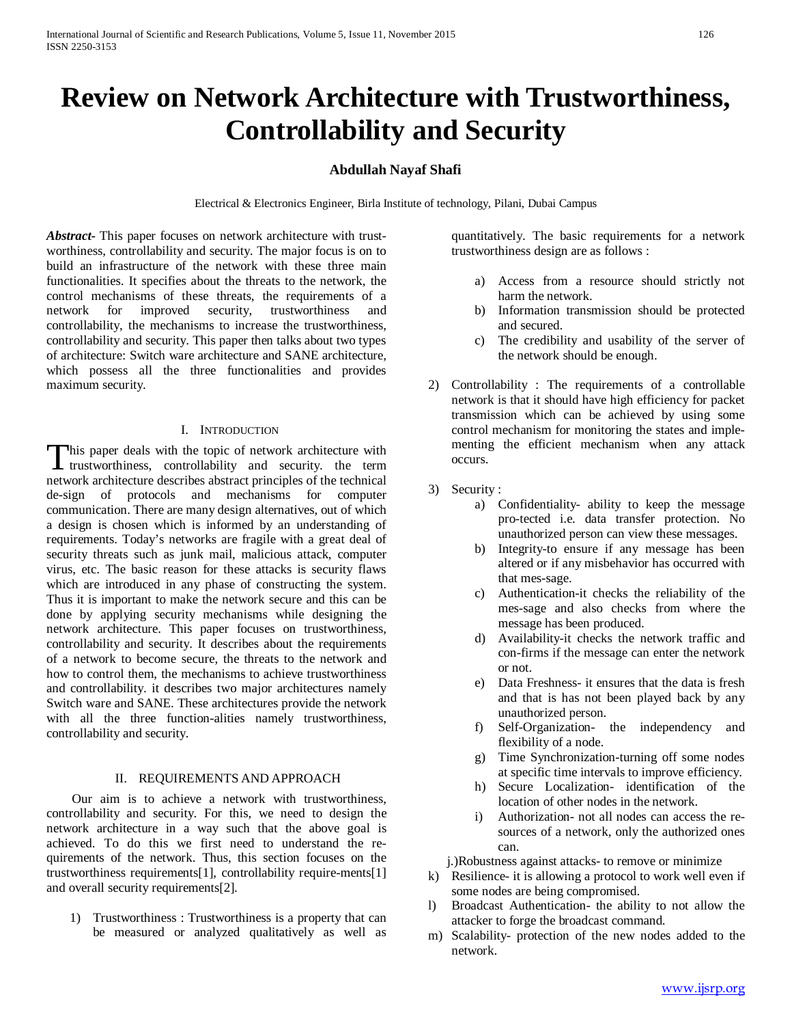# **Review on Network Architecture with Trustworthiness, Controllability and Security**

# **Abdullah Nayaf Shafi**

Electrical & Electronics Engineer, Birla Institute of technology, Pilani, Dubai Campus

*Abstract***-** This paper focuses on network architecture with trustworthiness, controllability and security. The major focus is on to build an infrastructure of the network with these three main functionalities. It specifies about the threats to the network, the control mechanisms of these threats, the requirements of a network for improved security, trustworthiness and controllability, the mechanisms to increase the trustworthiness, controllability and security. This paper then talks about two types of architecture: Switch ware architecture and SANE architecture, which possess all the three functionalities and provides maximum security.

## I. INTRODUCTION

This paper deals with the topic of network architecture with This paper deals with the topic of network architecture with<br>trustworthiness, controllability and security. the term network architecture describes abstract principles of the technical de-sign of protocols and mechanisms for computer communication. There are many design alternatives, out of which a design is chosen which is informed by an understanding of requirements. Today's networks are fragile with a great deal of security threats such as junk mail, malicious attack, computer virus, etc. The basic reason for these attacks is security flaws which are introduced in any phase of constructing the system. Thus it is important to make the network secure and this can be done by applying security mechanisms while designing the network architecture. This paper focuses on trustworthiness, controllability and security. It describes about the requirements of a network to become secure, the threats to the network and how to control them, the mechanisms to achieve trustworthiness and controllability. it describes two major architectures namely Switch ware and SANE. These architectures provide the network with all the three function-alities namely trustworthiness, controllability and security.

#### II. REQUIREMENTS AND APPROACH

 Our aim is to achieve a network with trustworthiness, controllability and security. For this, we need to design the network architecture in a way such that the above goal is achieved. To do this we first need to understand the requirements of the network. Thus, this section focuses on the trustworthiness requirements[1], controllability require-ments[1] and overall security requirements[2].

1) Trustworthiness : Trustworthiness is a property that can be measured or analyzed qualitatively as well as quantitatively. The basic requirements for a network trustworthiness design are as follows :

- a) Access from a resource should strictly not harm the network.
- b) Information transmission should be protected and secured.
- c) The credibility and usability of the server of the network should be enough.
- 2) Controllability : The requirements of a controllable network is that it should have high efficiency for packet transmission which can be achieved by using some control mechanism for monitoring the states and implementing the efficient mechanism when any attack occurs.
- 3) Security :
	- a) Confidentiality- ability to keep the message pro-tected i.e. data transfer protection. No unauthorized person can view these messages.
	- b) Integrity-to ensure if any message has been altered or if any misbehavior has occurred with that mes-sage.
	- c) Authentication-it checks the reliability of the mes-sage and also checks from where the message has been produced.
	- d) Availability-it checks the network traffic and con-firms if the message can enter the network or not.
	- e) Data Freshness- it ensures that the data is fresh and that is has not been played back by any unauthorized person.
	- f) Self-Organization- the independency and flexibility of a node.
	- g) Time Synchronization-turning off some nodes at specific time intervals to improve efficiency.
	- h) Secure Localization- identification of the location of other nodes in the network.
	- i) Authorization- not all nodes can access the resources of a network, only the authorized ones can.

j.)Robustness against attacks- to remove or minimize

- k) Resilience- it is allowing a protocol to work well even if some nodes are being compromised.
- l) Broadcast Authentication- the ability to not allow the attacker to forge the broadcast command.
- m) Scalability- protection of the new nodes added to the network.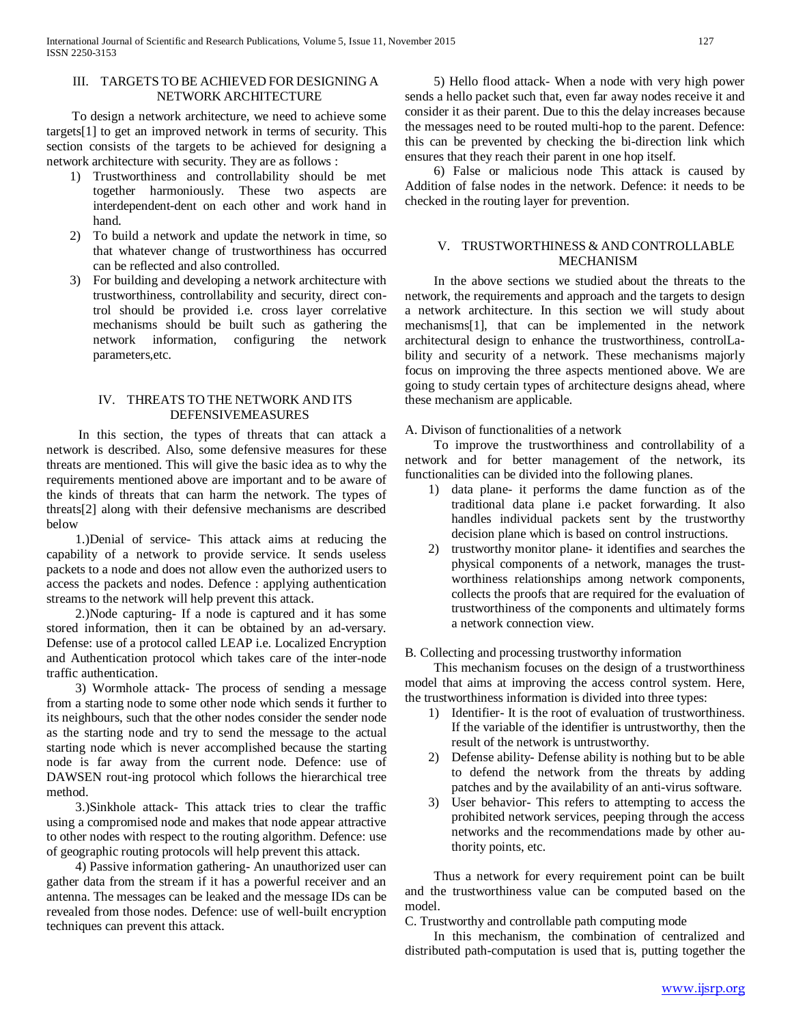## III. TARGETS TO BE ACHIEVED FOR DESIGNING A NETWORK ARCHITECTURE

 To design a network architecture, we need to achieve some targets[1] to get an improved network in terms of security. This section consists of the targets to be achieved for designing a network architecture with security. They are as follows :

- 1) Trustworthiness and controllability should be met together harmoniously. These two aspects are interdependent-dent on each other and work hand in hand.
- 2) To build a network and update the network in time, so that whatever change of trustworthiness has occurred can be reflected and also controlled.
- 3) For building and developing a network architecture with trustworthiness, controllability and security, direct control should be provided i.e. cross layer correlative mechanisms should be built such as gathering the network information, configuring the network parameters,etc.

## IV. THREATS TO THE NETWORK AND ITS DEFENSIVEMEASURES

 In this section, the types of threats that can attack a network is described. Also, some defensive measures for these threats are mentioned. This will give the basic idea as to why the requirements mentioned above are important and to be aware of the kinds of threats that can harm the network. The types of threats[2] along with their defensive mechanisms are described below

 1.)Denial of service- This attack aims at reducing the capability of a network to provide service. It sends useless packets to a node and does not allow even the authorized users to access the packets and nodes. Defence : applying authentication streams to the network will help prevent this attack.

 2.)Node capturing- If a node is captured and it has some stored information, then it can be obtained by an ad-versary. Defense: use of a protocol called LEAP i.e. Localized Encryption and Authentication protocol which takes care of the inter-node traffic authentication.

 3) Wormhole attack- The process of sending a message from a starting node to some other node which sends it further to its neighbours, such that the other nodes consider the sender node as the starting node and try to send the message to the actual starting node which is never accomplished because the starting node is far away from the current node. Defence: use of DAWSEN rout-ing protocol which follows the hierarchical tree method.

 3.)Sinkhole attack- This attack tries to clear the traffic using a compromised node and makes that node appear attractive to other nodes with respect to the routing algorithm. Defence: use of geographic routing protocols will help prevent this attack.

 4) Passive information gathering- An unauthorized user can gather data from the stream if it has a powerful receiver and an antenna. The messages can be leaked and the message IDs can be revealed from those nodes. Defence: use of well-built encryption techniques can prevent this attack.

 5) Hello flood attack- When a node with very high power sends a hello packet such that, even far away nodes receive it and consider it as their parent. Due to this the delay increases because the messages need to be routed multi-hop to the parent. Defence: this can be prevented by checking the bi-direction link which ensures that they reach their parent in one hop itself.

 6) False or malicious node This attack is caused by Addition of false nodes in the network. Defence: it needs to be checked in the routing layer for prevention.

# V. TRUSTWORTHINESS & AND CONTROLLABLE MECHANISM

 In the above sections we studied about the threats to the network, the requirements and approach and the targets to design a network architecture. In this section we will study about mechanisms[1], that can be implemented in the network architectural design to enhance the trustworthiness, controlLability and security of a network. These mechanisms majorly focus on improving the three aspects mentioned above. We are going to study certain types of architecture designs ahead, where these mechanism are applicable.

# A. Divison of functionalities of a network

 To improve the trustworthiness and controllability of a network and for better management of the network, its functionalities can be divided into the following planes.

- 1) data plane- it performs the dame function as of the traditional data plane i.e packet forwarding. It also handles individual packets sent by the trustworthy decision plane which is based on control instructions.
- 2) trustworthy monitor plane- it identifies and searches the physical components of a network, manages the trustworthiness relationships among network components, collects the proofs that are required for the evaluation of trustworthiness of the components and ultimately forms a network connection view.

## B. Collecting and processing trustworthy information

 This mechanism focuses on the design of a trustworthiness model that aims at improving the access control system. Here, the trustworthiness information is divided into three types:

- 1) Identifier- It is the root of evaluation of trustworthiness. If the variable of the identifier is untrustworthy, then the result of the network is untrustworthy.
- 2) Defense ability- Defense ability is nothing but to be able to defend the network from the threats by adding patches and by the availability of an anti-virus software.
- 3) User behavior- This refers to attempting to access the prohibited network services, peeping through the access networks and the recommendations made by other authority points, etc.

 Thus a network for every requirement point can be built and the trustworthiness value can be computed based on the model.

C. Trustworthy and controllable path computing mode

 In this mechanism, the combination of centralized and distributed path-computation is used that is, putting together the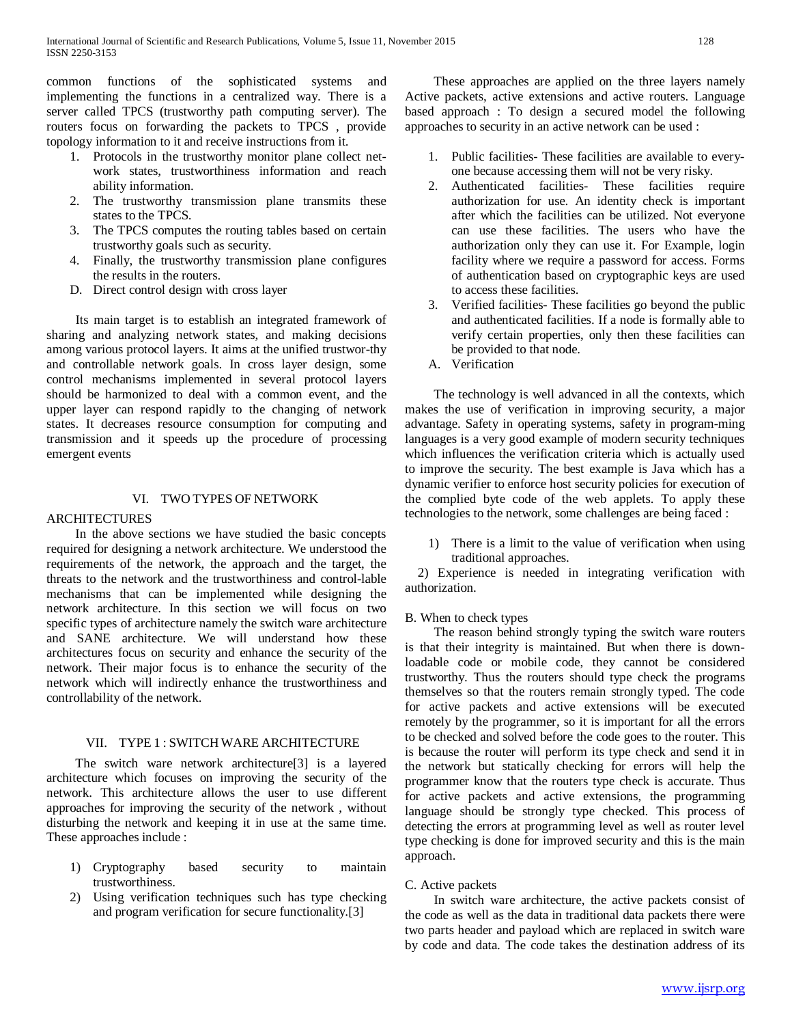common functions of the sophisticated systems and implementing the functions in a centralized way. There is a server called TPCS (trustworthy path computing server). The routers focus on forwarding the packets to TPCS , provide topology information to it and receive instructions from it.

- 1. Protocols in the trustworthy monitor plane collect network states, trustworthiness information and reach ability information.
- 2. The trustworthy transmission plane transmits these states to the TPCS.
- 3. The TPCS computes the routing tables based on certain trustworthy goals such as security.
- 4. Finally, the trustworthy transmission plane configures the results in the routers.
- D. Direct control design with cross layer

 Its main target is to establish an integrated framework of sharing and analyzing network states, and making decisions among various protocol layers. It aims at the unified trustwor-thy and controllable network goals. In cross layer design, some control mechanisms implemented in several protocol layers should be harmonized to deal with a common event, and the upper layer can respond rapidly to the changing of network states. It decreases resource consumption for computing and transmission and it speeds up the procedure of processing emergent events

# VI. TWO TYPES OF NETWORK

# ARCHITECTURES

 In the above sections we have studied the basic concepts required for designing a network architecture. We understood the requirements of the network, the approach and the target, the threats to the network and the trustworthiness and control-lable mechanisms that can be implemented while designing the network architecture. In this section we will focus on two specific types of architecture namely the switch ware architecture and SANE architecture. We will understand how these architectures focus on security and enhance the security of the network. Their major focus is to enhance the security of the network which will indirectly enhance the trustworthiness and controllability of the network.

# VII. TYPE 1 : SWITCH WARE ARCHITECTURE

 The switch ware network architecture[3] is a layered architecture which focuses on improving the security of the network. This architecture allows the user to use different approaches for improving the security of the network , without disturbing the network and keeping it in use at the same time. These approaches include :

- 1) Cryptography based security to maintain trustworthiness.
- 2) Using verification techniques such has type checking and program verification for secure functionality.[3]

 These approaches are applied on the three layers namely Active packets, active extensions and active routers. Language based approach : To design a secured model the following approaches to security in an active network can be used :

- 1. Public facilities- These facilities are available to everyone because accessing them will not be very risky.
- 2. Authenticated facilities- These facilities require authorization for use. An identity check is important after which the facilities can be utilized. Not everyone can use these facilities. The users who have the authorization only they can use it. For Example, login facility where we require a password for access. Forms of authentication based on cryptographic keys are used to access these facilities.
- 3. Verified facilities- These facilities go beyond the public and authenticated facilities. If a node is formally able to verify certain properties, only then these facilities can be provided to that node.
- A. Verification

 The technology is well advanced in all the contexts, which makes the use of verification in improving security, a major advantage. Safety in operating systems, safety in program-ming languages is a very good example of modern security techniques which influences the verification criteria which is actually used to improve the security. The best example is Java which has a dynamic verifier to enforce host security policies for execution of the complied byte code of the web applets. To apply these technologies to the network, some challenges are being faced :

1) There is a limit to the value of verification when using traditional approaches.

 2) Experience is needed in integrating verification with authorization.

# B. When to check types

 The reason behind strongly typing the switch ware routers is that their integrity is maintained. But when there is downloadable code or mobile code, they cannot be considered trustworthy. Thus the routers should type check the programs themselves so that the routers remain strongly typed. The code for active packets and active extensions will be executed remotely by the programmer, so it is important for all the errors to be checked and solved before the code goes to the router. This is because the router will perform its type check and send it in the network but statically checking for errors will help the programmer know that the routers type check is accurate. Thus for active packets and active extensions, the programming language should be strongly type checked. This process of detecting the errors at programming level as well as router level type checking is done for improved security and this is the main approach.

## C. Active packets

 In switch ware architecture, the active packets consist of the code as well as the data in traditional data packets there were two parts header and payload which are replaced in switch ware by code and data. The code takes the destination address of its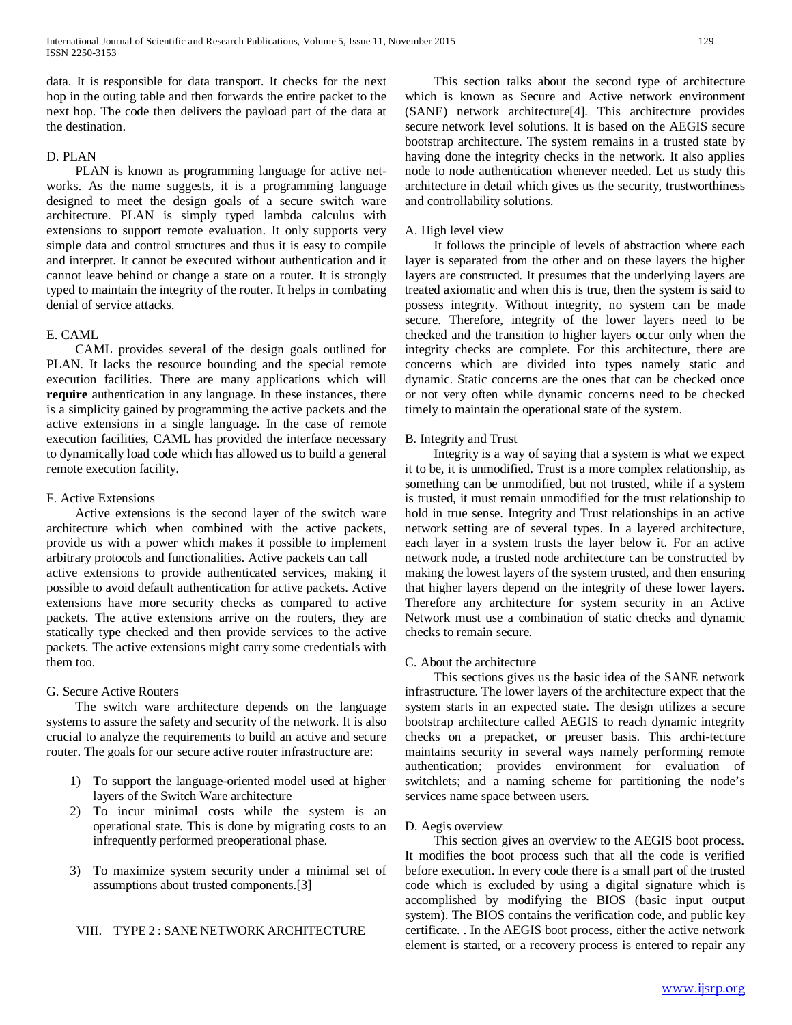data. It is responsible for data transport. It checks for the next hop in the outing table and then forwards the entire packet to the next hop. The code then delivers the payload part of the data at the destination.

# D. PLAN

 PLAN is known as programming language for active networks. As the name suggests, it is a programming language designed to meet the design goals of a secure switch ware architecture. PLAN is simply typed lambda calculus with extensions to support remote evaluation. It only supports very simple data and control structures and thus it is easy to compile and interpret. It cannot be executed without authentication and it cannot leave behind or change a state on a router. It is strongly typed to maintain the integrity of the router. It helps in combating denial of service attacks.

#### E. CAML

 CAML provides several of the design goals outlined for PLAN. It lacks the resource bounding and the special remote execution facilities. There are many applications which will **require** authentication in any language. In these instances, there is a simplicity gained by programming the active packets and the active extensions in a single language. In the case of remote execution facilities, CAML has provided the interface necessary to dynamically load code which has allowed us to build a general remote execution facility.

#### F. Active Extensions

 Active extensions is the second layer of the switch ware architecture which when combined with the active packets, provide us with a power which makes it possible to implement arbitrary protocols and functionalities. Active packets can call active extensions to provide authenticated services, making it possible to avoid default authentication for active packets. Active extensions have more security checks as compared to active packets. The active extensions arrive on the routers, they are statically type checked and then provide services to the active packets. The active extensions might carry some credentials with them too.

#### G. Secure Active Routers

 The switch ware architecture depends on the language systems to assure the safety and security of the network. It is also crucial to analyze the requirements to build an active and secure router. The goals for our secure active router infrastructure are:

- 1) To support the language-oriented model used at higher layers of the Switch Ware architecture
- 2) To incur minimal costs while the system is an operational state. This is done by migrating costs to an infrequently performed preoperational phase.
- 3) To maximize system security under a minimal set of assumptions about trusted components.[3]

#### VIII. TYPE 2 : SANE NETWORK ARCHITECTURE

 This section talks about the second type of architecture which is known as Secure and Active network environment (SANE) network architecture[4]. This architecture provides secure network level solutions. It is based on the AEGIS secure bootstrap architecture. The system remains in a trusted state by having done the integrity checks in the network. It also applies node to node authentication whenever needed. Let us study this architecture in detail which gives us the security, trustworthiness and controllability solutions.

## A. High level view

 It follows the principle of levels of abstraction where each layer is separated from the other and on these layers the higher layers are constructed. It presumes that the underlying layers are treated axiomatic and when this is true, then the system is said to possess integrity. Without integrity, no system can be made secure. Therefore, integrity of the lower layers need to be checked and the transition to higher layers occur only when the integrity checks are complete. For this architecture, there are concerns which are divided into types namely static and dynamic. Static concerns are the ones that can be checked once or not very often while dynamic concerns need to be checked timely to maintain the operational state of the system.

#### B. Integrity and Trust

 Integrity is a way of saying that a system is what we expect it to be, it is unmodified. Trust is a more complex relationship, as something can be unmodified, but not trusted, while if a system is trusted, it must remain unmodified for the trust relationship to hold in true sense. Integrity and Trust relationships in an active network setting are of several types. In a layered architecture, each layer in a system trusts the layer below it. For an active network node, a trusted node architecture can be constructed by making the lowest layers of the system trusted, and then ensuring that higher layers depend on the integrity of these lower layers. Therefore any architecture for system security in an Active Network must use a combination of static checks and dynamic checks to remain secure.

#### C. About the architecture

 This sections gives us the basic idea of the SANE network infrastructure. The lower layers of the architecture expect that the system starts in an expected state. The design utilizes a secure bootstrap architecture called AEGIS to reach dynamic integrity checks on a prepacket, or preuser basis. This archi-tecture maintains security in several ways namely performing remote authentication; provides environment for evaluation of switchlets; and a naming scheme for partitioning the node's services name space between users.

#### D. Aegis overview

 This section gives an overview to the AEGIS boot process. It modifies the boot process such that all the code is verified before execution. In every code there is a small part of the trusted code which is excluded by using a digital signature which is accomplished by modifying the BIOS (basic input output system). The BIOS contains the verification code, and public key certificate. . In the AEGIS boot process, either the active network element is started, or a recovery process is entered to repair any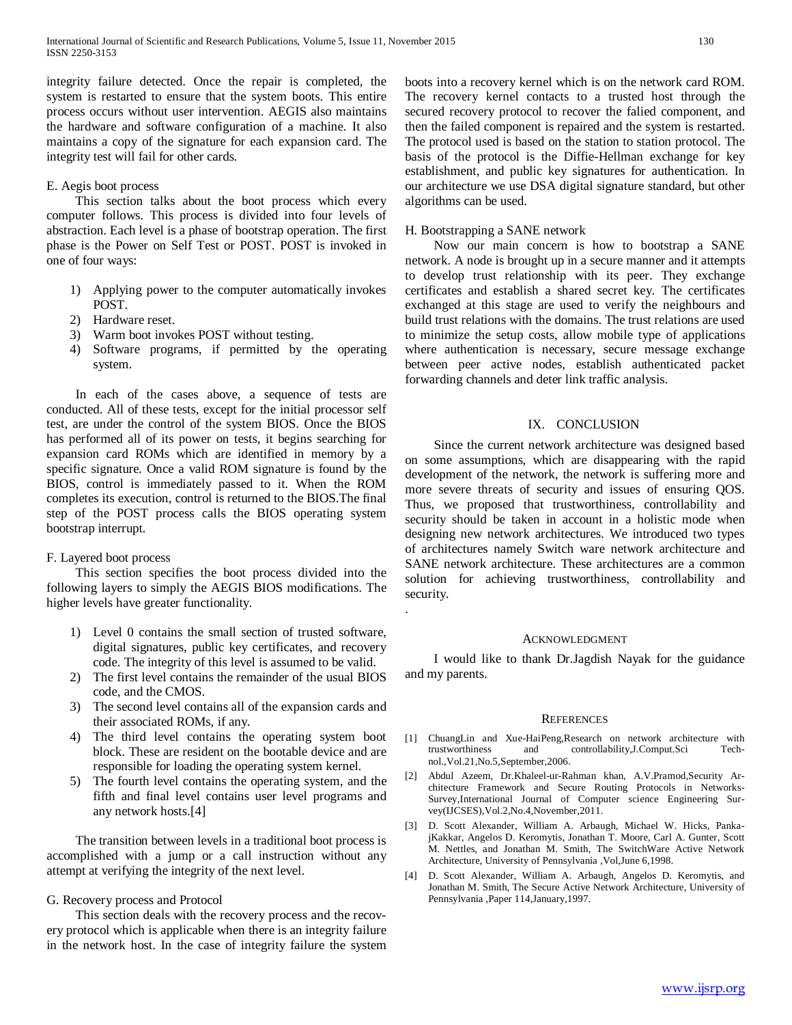integrity failure detected. Once the repair is completed, the system is restarted to ensure that the system boots. This entire process occurs without user intervention. AEGIS also maintains the hardware and software configuration of a machine. It also maintains a copy of the signature for each expansion card. The integrity test will fail for other cards.

## E. Aegis boot process

 This section talks about the boot process which every computer follows. This process is divided into four levels of abstraction. Each level is a phase of bootstrap operation. The first phase is the Power on Self Test or POST. POST is invoked in one of four ways:

- 1) Applying power to the computer automatically invokes POST.
- 2) Hardware reset.
- 3) Warm boot invokes POST without testing.
- 4) Software programs, if permitted by the operating system.

 In each of the cases above, a sequence of tests are conducted. All of these tests, except for the initial processor self test, are under the control of the system BIOS. Once the BIOS has performed all of its power on tests, it begins searching for expansion card ROMs which are identified in memory by a specific signature. Once a valid ROM signature is found by the BIOS, control is immediately passed to it. When the ROM completes its execution, control is returned to the BIOS.The final step of the POST process calls the BIOS operating system bootstrap interrupt.

## F. Layered boot process

 This section specifies the boot process divided into the following layers to simply the AEGIS BIOS modifications. The higher levels have greater functionality.

- 1) Level 0 contains the small section of trusted software, digital signatures, public key certificates, and recovery code. The integrity of this level is assumed to be valid.
- 2) The first level contains the remainder of the usual BIOS code, and the CMOS.
- 3) The second level contains all of the expansion cards and their associated ROMs, if any.
- 4) The third level contains the operating system boot block. These are resident on the bootable device and are responsible for loading the operating system kernel.
- 5) The fourth level contains the operating system, and the fifth and final level contains user level programs and any network hosts.[4]

 The transition between levels in a traditional boot process is accomplished with a jump or a call instruction without any attempt at verifying the integrity of the next level.

## G. Recovery process and Protocol

 This section deals with the recovery process and the recovery protocol which is applicable when there is an integrity failure in the network host. In the case of integrity failure the system boots into a recovery kernel which is on the network card ROM. The recovery kernel contacts to a trusted host through the secured recovery protocol to recover the falied component, and then the failed component is repaired and the system is restarted. The protocol used is based on the station to station protocol. The basis of the protocol is the Diffie-Hellman exchange for key establishment, and public key signatures for authentication. In our architecture we use DSA digital signature standard, but other algorithms can be used.

# H. Bootstrapping a SANE network

.

 Now our main concern is how to bootstrap a SANE network. A node is brought up in a secure manner and it attempts to develop trust relationship with its peer. They exchange certificates and establish a shared secret key. The certificates exchanged at this stage are used to verify the neighbours and build trust relations with the domains. The trust relations are used to minimize the setup costs, allow mobile type of applications where authentication is necessary, secure message exchange between peer active nodes, establish authenticated packet forwarding channels and deter link traffic analysis.

#### IX. CONCLUSION

 Since the current network architecture was designed based on some assumptions, which are disappearing with the rapid development of the network, the network is suffering more and more severe threats of security and issues of ensuring QOS. Thus, we proposed that trustworthiness, controllability and security should be taken in account in a holistic mode when designing new network architectures. We introduced two types of architectures namely Switch ware network architecture and SANE network architecture. These architectures are a common solution for achieving trustworthiness, controllability and security.

#### ACKNOWLEDGMENT

 I would like to thank Dr.Jagdish Nayak for the guidance and my parents.

#### **REFERENCES**

- [1] ChuangLin and Xue-HaiPeng,Research on network architecture with trustworthiness and controllability,J.Comput.Sci Technol.,Vol.21,No.5,September,2006.
- [2] Abdul Azeem, Dr.Khaleel-ur-Rahman khan, A.V.Pramod,Security Architecture Framework and Secure Routing Protocols in Networks-Survey,International Journal of Computer science Engineering Survey(IJCSES),Vol.2,No.4,November,2011.
- [3] D. Scott Alexander, William A. Arbaugh, Michael W. Hicks, PankajKakkar, Angelos D. Keromytis, Jonathan T. Moore, Carl A. Gunter, Scott M. Nettles, and Jonathan M. Smith, The SwitchWare Active Network Architecture, University of Pennsylvania ,Vol,June 6,1998.
- [4] D. Scott Alexander, William A. Arbaugh, Angelos D. Keromytis, and Jonathan M. Smith, The Secure Active Network Architecture, University of Pennsylvania ,Paper 114,January,1997.